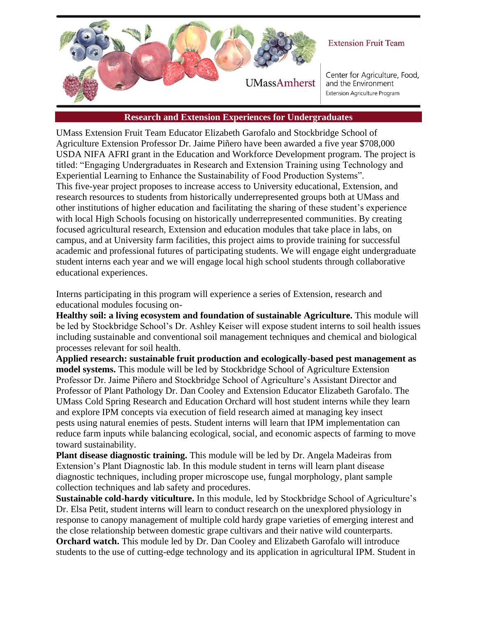

## **Extension Fruit Team**

Center for Agriculture, Food, and the Environment **Extension Agriculture Program** 

## **Research and Extension Experiences for Undergraduates**

UMass Extension Fruit Team Educator Elizabeth Garofalo and Stockbridge School of Agriculture Extension Professor Dr. Jaime Piñero have been awarded a five year \$708,000 USDA NIFA AFRI grant in the Education and Workforce Development program. The project is titled: "Engaging Undergraduates in Research and Extension Training using Technology and Experiential Learning to Enhance the Sustainability of Food Production Systems". This five-year project proposes to increase access to University educational, Extension, and research resources to students from historically underrepresented groups both at UMass and other institutions of higher education and facilitating the sharing of these student's experience with local High Schools focusing on historically underrepresented communities. By creating focused agricultural research, Extension and education modules that take place in labs, on campus, and at University farm facilities, this project aims to provide training for successful academic and professional futures of participating students. We will engage eight undergraduate student interns each year and we will engage local high school students through collaborative educational experiences.

Interns participating in this program will experience a series of Extension, research and educational modules focusing on-

**Healthy soil: a living ecosystem and foundation of sustainable Agriculture.** This module will be led by Stockbridge School's Dr. Ashley Keiser will expose student interns to soil health issues including sustainable and conventional soil management techniques and chemical and biological processes relevant for soil health.

**Applied research: sustainable fruit production and ecologically-based pest management as model systems.** This module will be led by Stockbridge School of Agriculture Extension Professor Dr. Jaime Piñero and Stockbridge School of Agriculture's Assistant Director and Professor of Plant Pathology Dr. Dan Cooley and Extension Educator Elizabeth Garofalo. The UMass Cold Spring Research and Education Orchard will host student interns while they learn and explore IPM concepts via execution of field research aimed at managing key insect pests using natural enemies of pests. Student interns will learn that IPM implementation can reduce farm inputs while balancing ecological, social, and economic aspects of farming to move toward sustainability.

**Plant disease diagnostic training.** This module will be led by Dr. Angela Madeiras from Extension's Plant Diagnostic lab. In this module student in terns will learn plant disease diagnostic techniques, including proper microscope use, fungal morphology, plant sample collection techniques and lab safety and procedures.

**Sustainable cold-hardy viticulture.** In this module, led by Stockbridge School of Agriculture's Dr. Elsa Petit, student interns will learn to conduct research on the unexplored physiology in response to canopy management of multiple cold hardy grape varieties of emerging interest and the close relationship between domestic grape cultivars and their native wild counterparts.

**Orchard watch.** This module led by Dr. Dan Cooley and Elizabeth Garofalo will introduce students to the use of cutting-edge technology and its application in agricultural IPM. Student in